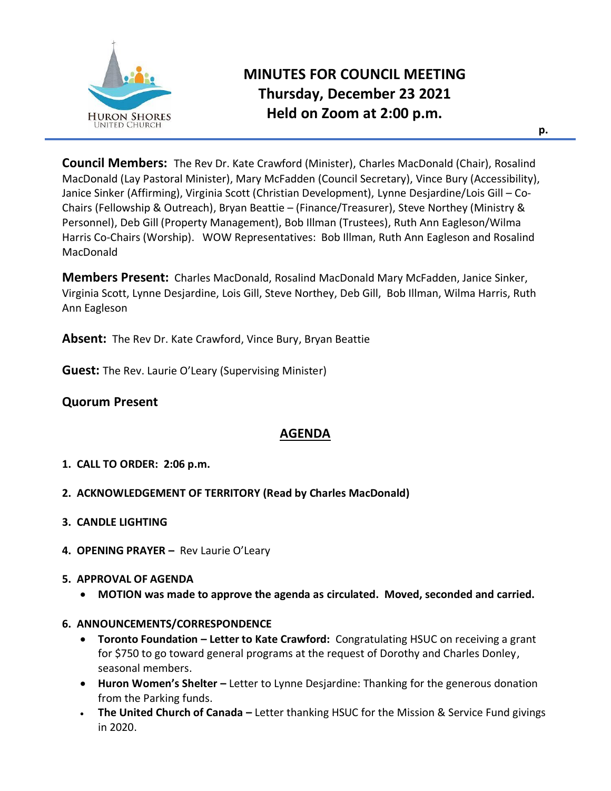

# **MINUTES FOR COUNCIL MEETING Thursday, December 23 2021 Held on Zoom at 2:00 p.m.**

**Council Members:** The Rev Dr. Kate Crawford (Minister), Charles MacDonald (Chair), Rosalind MacDonald (Lay Pastoral Minister), Mary McFadden (Council Secretary), Vince Bury (Accessibility), Janice Sinker (Affirming), Virginia Scott (Christian Development), Lynne Desjardine/Lois Gill – Co-Chairs (Fellowship & Outreach), Bryan Beattie – (Finance/Treasurer), Steve Northey (Ministry & Personnel), Deb Gill (Property Management), Bob Illman (Trustees), Ruth Ann Eagleson/Wilma Harris Co-Chairs (Worship). WOW Representatives: Bob Illman, Ruth Ann Eagleson and Rosalind MacDonald

**Members Present:** Charles MacDonald, Rosalind MacDonald Mary McFadden, Janice Sinker, Virginia Scott, Lynne Desjardine, Lois Gill, Steve Northey, Deb Gill, Bob Illman, Wilma Harris, Ruth Ann Eagleson

**Absent:** The Rev Dr. Kate Crawford, Vince Bury, Bryan Beattie

**Guest:** The Rev. Laurie O'Leary (Supervising Minister)

## **Quorum Present**

# **AGENDA**

- **1. CALL TO ORDER: 2:06 p.m.**
- **2. ACKNOWLEDGEMENT OF TERRITORY (Read by Charles MacDonald)**
- **3. CANDLE LIGHTING**
- **4. OPENING PRAYER –** Rev Laurie O'Leary

#### **5. APPROVAL OF AGENDA**

• **MOTION was made to approve the agenda as circulated. Moved, seconded and carried.**

#### **6. ANNOUNCEMENTS/CORRESPONDENCE**

- **Toronto Foundation – Letter to Kate Crawford:** Congratulating HSUC on receiving a grant for \$750 to go toward general programs at the request of Dorothy and Charles Donley, seasonal members.
- **Huron Women's Shelter –** Letter to Lynne Desjardine: Thanking for the generous donation from the Parking funds.
- **The United Church of Canada –** Letter thanking HSUC for the Mission & Service Fund givings in 2020.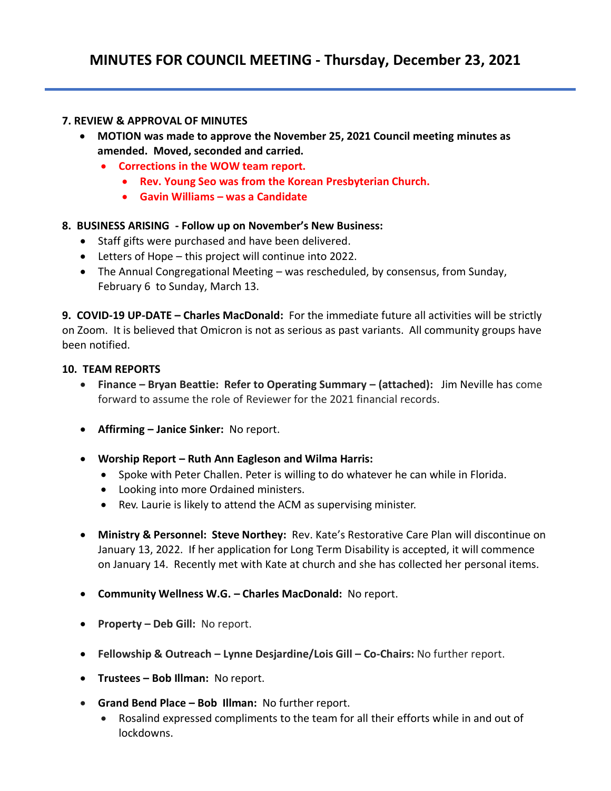#### **7. REVIEW & APPROVAL OF MINUTES**

- **MOTION was made to approve the November 25, 2021 Council meeting minutes as amended. Moved, seconded and carried.**
	- **Corrections in the WOW team report.**
		- **Rev. Young Seo was from the Korean Presbyterian Church.**
		- **Gavin Williams – was a Candidate**

#### **8. BUSINESS ARISING - Follow up on November's New Business:**

- Staff gifts were purchased and have been delivered.
- Letters of Hope this project will continue into 2022.
- The Annual Congregational Meeting was rescheduled, by consensus, from Sunday, February 6 to Sunday, March 13.

**9. COVID-19 UP-DATE – Charles MacDonald:** For the immediate future all activities will be strictly on Zoom. It is believed that Omicron is not as serious as past variants. All community groups have been notified.

#### **10. TEAM REPORTS**

- **Finance – Bryan Beattie: Refer to Operating Summary – (attached):** Jim Neville has come forward to assume the role of Reviewer for the 2021 financial records.
- **Affirming – Janice Sinker:** No report.
- **Worship Report – Ruth Ann Eagleson and Wilma Harris:** 
	- Spoke with Peter Challen. Peter is willing to do whatever he can while in Florida.
	- Looking into more Ordained ministers.
	- Rev. Laurie is likely to attend the ACM as supervising minister.
- **Ministry & Personnel: Steve Northey:** Rev. Kate's Restorative Care Plan will discontinue on January 13, 2022. If her application for Long Term Disability is accepted, it will commence on January 14. Recently met with Kate at church and she has collected her personal items.
- **Community Wellness W.G. – Charles MacDonald:** No report.
- **Property – Deb Gill:** No report.
- **Fellowship & Outreach – Lynne Desjardine/Lois Gill – Co-Chairs:** No further report.
- **Trustees – Bob Illman:** No report.
- **Grand Bend Place – Bob Illman:** No further report.
	- Rosalind expressed compliments to the team for all their efforts while in and out of lockdowns.